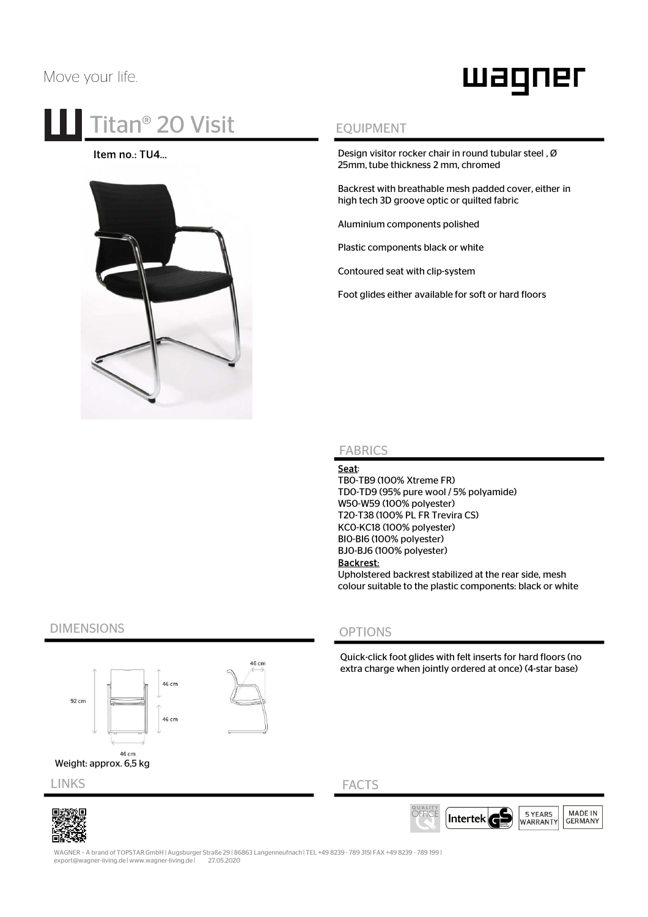# Move your life.

# waqner

# **Titan<sup>®</sup> 20 Visit** EQUIPMENT

## Item no.: TU4…



Design visitor rocker chair in round tubular steel , Ø 25mm, tube thickness 2 mm, chromed

Backrest with breathable mesh padded cover, either in high tech 3D groove optic or quilted fabric

Aluminium components polished

Plastic components black or white

Contoured seat with clip-system

Foot glides either available for soft or hard floors

## FABRICS

### Seat:

TB0-TB9 (100% Xtreme FR) TD0-TD9 (95% pure wool / 5% polyamide) W50-W59 (100% polyester) T20-T38 (100% PL FR Trevira CS) KC0-KC18 (100% polyester) BI0-BI6 (100% polyester) BJ0-BJ6 (100% polyester) Backrest: Upholstered backrest stabilized at the rear side, mesh

colour suitable to the plastic components: black or white

# DIMENSIONS

W€



# OPTIONS

Quick-click foot glides with felt inserts for hard floors (no extra charge when jointly ordered at once) (4-star base)

## FACTS



WAGNER – A brand of TOPSTAR GmbH | Augsburger Straße 29 | 86863 Langenneufnach | TEL +49 8239 - 789 315| FAX +49 8239 - 789 199 | export@wagner-living.de | www.wagner-living.de | 27.05.2020